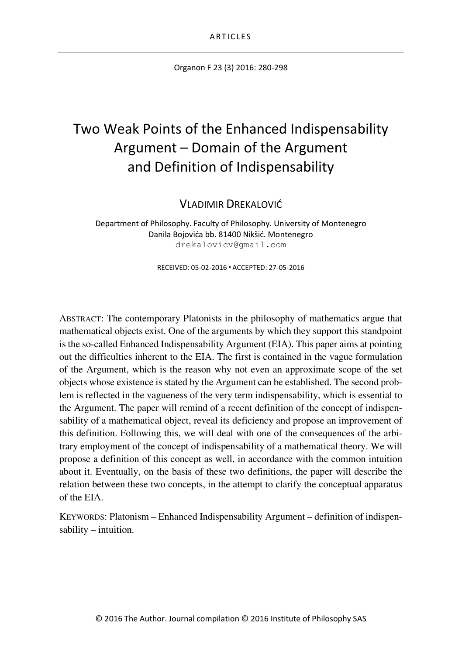Organon F 23 (3) 2016: 280-298

# Two Weak Points of the Enhanced Indispensability Argument – Domain of the Argument and Definition of Indispensability

VLADIMIR DREKALOVIĆ

Department of Philosophy. Faculty of Philosophy. University of Montenegro Danila Bojovića bb. 81400 Nikšić. Montenegro drekalovicv@gmail.com

RECEIVED: 05-02-2016 ACCEPTED: 27-05-2016

ABSTRACT: The contemporary Platonists in the philosophy of mathematics argue that mathematical objects exist. One of the arguments by which they support this standpoint is the so-called Enhanced Indispensability Argument (EIA). This paper aims at pointing out the difficulties inherent to the EIA. The first is contained in the vague formulation of the Argument, which is the reason why not even an approximate scope of the set objects whose existence is stated by the Argument can be established. The second problem is reflected in the vagueness of the very term indispensability, which is essential to the Argument. The paper will remind of a recent definition of the concept of indispensability of a mathematical object, reveal its deficiency and propose an improvement of this definition. Following this, we will deal with one of the consequences of the arbitrary employment of the concept of indispensability of a mathematical theory. We will propose a definition of this concept as well, in accordance with the common intuition about it. Eventually, on the basis of these two definitions, the paper will describe the relation between these two concepts, in the attempt to clarify the conceptual apparatus of the EIA.

KEYWORDS: Platonism – Enhanced Indispensability Argument – definition of indispensability – intuition.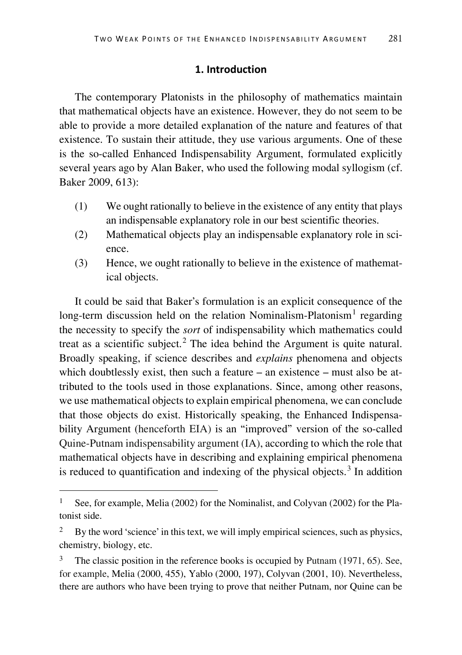## **1. Introduction**

The contemporary Platonists in the philosophy of mathematics maintain that mathematical objects have an existence. However, they do not seem to be able to provide a more detailed explanation of the nature and features of that existence. To sustain their attitude, they use various arguments. One of these is the so-called Enhanced Indispensability Argument, formulated explicitly several years ago by Alan Baker, who used the following modal syllogism (cf. Baker 2009, 613):

- (1) We ought rationally to believe in the existence of any entity that plays an indispensable explanatory role in our best scientific theories.
- (2) Mathematical objects play an indispensable explanatory role in science.
- (3) Hence, we ought rationally to believe in the existence of mathematical objects.

It could be said that Baker's formulation is an explicit consequence of the long-term discussion held on the relation Nominalism-Platonism<sup>[1](#page-1-0)</sup> regarding the necessity to specify the *sort* of indispensability which mathematics could treat as a scientific subject.<sup>[2](#page-1-1)</sup> The idea behind the Argument is quite natural. Broadly speaking, if science describes and *explains* phenomena and objects which doubtlessly exist, then such a feature – an existence – must also be attributed to the tools used in those explanations. Since, among other reasons, we use mathematical objects to explain empirical phenomena, we can conclude that those objects do exist. Historically speaking, the Enhanced Indispensability Argument (henceforth EIA) is an "improved" version of the so-called Quine-Putnam indispensability argument (IA), according to which the role that mathematical objects have in describing and explaining empirical phenomena is reduced to quantification and indexing of the physical objects. $3$  In addition

<span id="page-1-0"></span>See, for example, Melia (2002) for the Nominalist, and Colyvan (2002) for the Platonist side.

<span id="page-1-1"></span><sup>&</sup>lt;sup>2</sup> By the word 'science' in this text, we will imply empirical sciences, such as physics, chemistry, biology, etc.

<span id="page-1-2"></span>The classic position in the reference books is occupied by Putnam (1971, 65). See, for example, Melia (2000, 455), Yablo (2000, 197), Colyvan (2001, 10). Nevertheless, there are authors who have been trying to prove that neither Putnam, nor Quine can be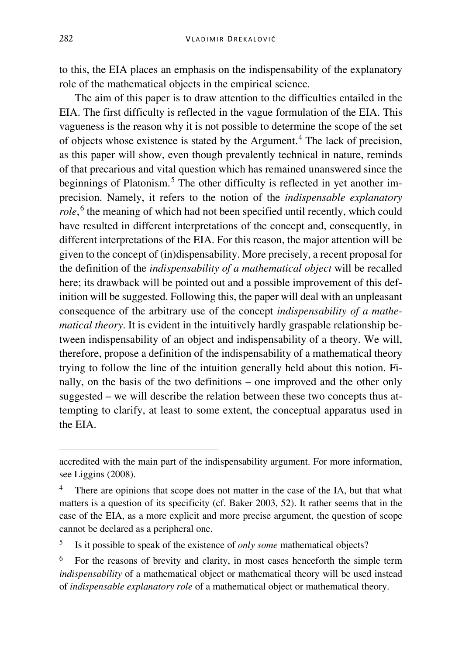to this, the EIA places an emphasis on the indispensability of the explanatory role of the mathematical objects in the empirical science.

The aim of this paper is to draw attention to the difficulties entailed in the EIA. The first difficulty is reflected in the vague formulation of the EIA. This vagueness is the reason why it is not possible to determine the scope of the set of objects whose existence is stated by the Argument.<sup>[4](#page-2-0)</sup> The lack of precision. as this paper will show, even though prevalently technical in nature, reminds of that precarious and vital question which has remained unanswered since the beginnings of Platonism.<sup>[5](#page-2-1)</sup> The other difficulty is reflected in yet another imprecision. Namely, it refers to the notion of the *indispensable explanatory role*, [6](#page-2-2) the meaning of which had not been specified until recently, which could have resulted in different interpretations of the concept and, consequently, in different interpretations of the EIA. For this reason, the major attention will be given to the concept of (in)dispensability. More precisely, a recent proposal for the definition of the *indispensability of a mathematical object* will be recalled here; its drawback will be pointed out and a possible improvement of this definition will be suggested. Following this, the paper will deal with an unpleasant consequence of the arbitrary use of the concept *indispensability of a mathematical theory*. It is evident in the intuitively hardly graspable relationship between indispensability of an object and indispensability of a theory. We will, therefore, propose a definition of the indispensability of a mathematical theory trying to follow the line of the intuition generally held about this notion. Finally, on the basis of the two definitions – one improved and the other only suggested – we will describe the relation between these two concepts thus attempting to clarify, at least to some extent, the conceptual apparatus used in the EIA.

<span id="page-2-1"></span><sup>5</sup> Is it possible to speak of the existence of *only some* mathematical objects?

accredited with the main part of the indispensability argument. For more information, see Liggins (2008).

<span id="page-2-0"></span>There are opinions that scope does not matter in the case of the IA, but that what matters is a question of its specificity (cf. Baker 2003, 52). It rather seems that in the case of the EIA, as a more explicit and more precise argument, the question of scope cannot be declared as a peripheral one.

<span id="page-2-2"></span><sup>6</sup> For the reasons of brevity and clarity, in most cases henceforth the simple term *indispensability* of a mathematical object or mathematical theory will be used instead of *indispensable explanatory role* of a mathematical object or mathematical theory.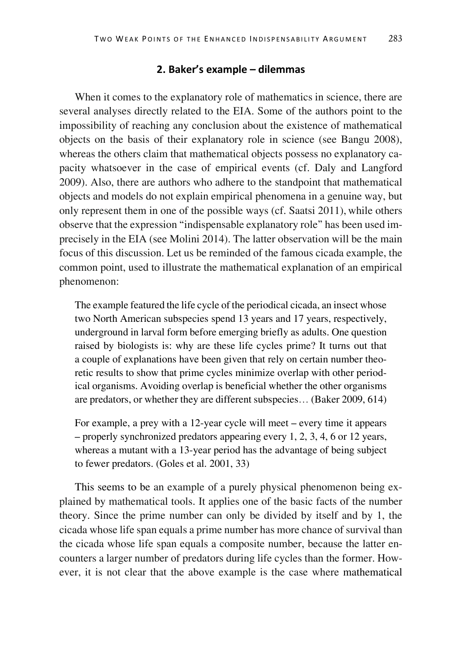#### **2. Baker's example – dilemmas**

When it comes to the explanatory role of mathematics in science, there are several analyses directly related to the EIA. Some of the authors point to the impossibility of reaching any conclusion about the existence of mathematical objects on the basis of their explanatory role in science (see Bangu 2008), whereas the others claim that mathematical objects possess no explanatory capacity whatsoever in the case of empirical events (cf. Daly and Langford 2009). Also, there are authors who adhere to the standpoint that mathematical objects and models do not explain empirical phenomena in a genuine way, but only represent them in one of the possible ways (cf. Saatsi 2011), while others observe that the expression "indispensable explanatory role" has been used imprecisely in the EIA (see Molini 2014). The latter observation will be the main focus of this discussion. Let us be reminded of the famous cicada example, the common point, used to illustrate the mathematical explanation of an empirical phenomenon:

The example featured the life cycle of the periodical cicada, an insect whose two North American subspecies spend 13 years and 17 years, respectively, underground in larval form before emerging briefly as adults. One question raised by biologists is: why are these life cycles prime? It turns out that a couple of explanations have been given that rely on certain number theoretic results to show that prime cycles minimize overlap with other periodical organisms. Avoiding overlap is beneficial whether the other organisms are predators, or whether they are different subspecies… (Baker 2009, 614)

For example, a prey with a 12-year cycle will meet – every time it appears – properly synchronized predators appearing every 1, 2, 3, 4, 6 or 12 years, whereas a mutant with a 13-year period has the advantage of being subject to fewer predators. (Goles et al. 2001, 33)

This seems to be an example of a purely physical phenomenon being explained by mathematical tools. It applies one of the basic facts of the number theory. Since the prime number can only be divided by itself and by 1, the cicada whose life span equals a prime number has more chance of survival than the cicada whose life span equals a composite number, because the latter encounters a larger number of predators during life cycles than the former. However, it is not clear that the above example is the case where mathematical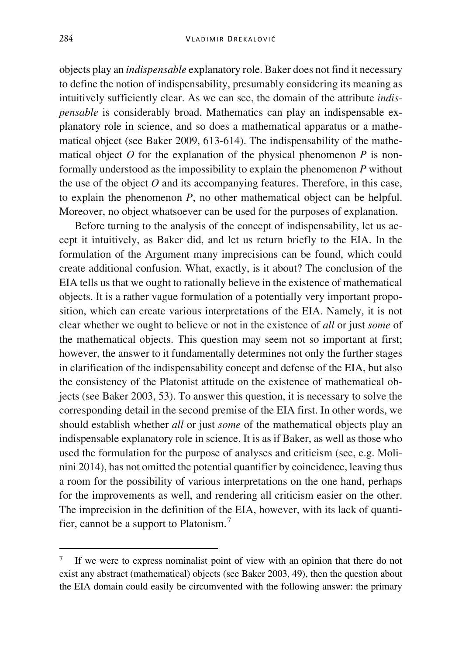objects play an *indispensable* explanatory role. Baker does not find it necessary to define the notion of indispensability, presumably considering its meaning as intuitively sufficiently clear. As we can see, the domain of the attribute *indispensable* is considerably broad. Mathematics can play an indispensable explanatory role in science, and so does a mathematical apparatus or a mathematical object (see Baker 2009, 613-614). The indispensability of the mathematical object  $O$  for the explanation of the physical phenomenon  $P$  is nonformally understood as the impossibility to explain the phenomenon *P* without the use of the object *O* and its accompanying features. Therefore, in this case, to explain the phenomenon *P*, no other mathematical object can be helpful. Moreover, no object whatsoever can be used for the purposes of explanation.

Before turning to the analysis of the concept of indispensability, let us accept it intuitively, as Baker did, and let us return briefly to the EIA. In the formulation of the Argument many imprecisions can be found, which could create additional confusion. What, exactly, is it about? The conclusion of the EIA tells us that we ought to rationally believe in the existence of mathematical objects. It is a rather vague formulation of a potentially very important proposition, which can create various interpretations of the EIA. Namely, it is not clear whether we ought to believe or not in the existence of *all* or just *some* of the mathematical objects. This question may seem not so important at first; however, the answer to it fundamentally determines not only the further stages in clarification of the indispensability concept and defense of the EIA, but also the consistency of the Platonist attitude on the existence of mathematical objects (see Baker 2003, 53). To answer this question, it is necessary to solve the corresponding detail in the second premise of the EIA first. In other words, we should establish whether *all* or just *some* of the mathematical objects play an indispensable explanatory role in science. It is as if Baker, as well as those who used the formulation for the purpose of analyses and criticism (see, e.g. Molinini 2014), has not omitted the potential quantifier by coincidence, leaving thus a room for the possibility of various interpretations on the one hand, perhaps for the improvements as well, and rendering all criticism easier on the other. The imprecision in the definition of the EIA, however, with its lack of quantifier, cannot be a support to Platonism.[7](#page-4-0)

<span id="page-4-0"></span><sup>&</sup>lt;sup>7</sup> If we were to express nominalist point of view with an opinion that there do not exist any abstract (mathematical) objects (see Baker 2003, 49), then the question about the EIA domain could easily be circumvented with the following answer: the primary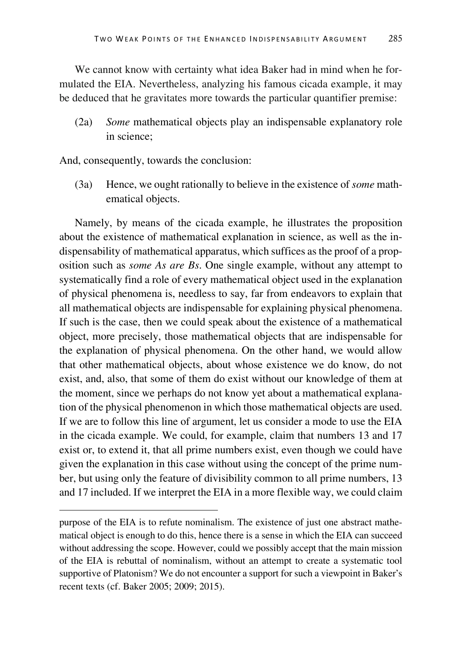We cannot know with certainty what idea Baker had in mind when he formulated the EIA. Nevertheless, analyzing his famous cicada example, it may be deduced that he gravitates more towards the particular quantifier premise:

(2a) *Some* mathematical objects play an indispensable explanatory role in science;

And, consequently, towards the conclusion:

(3a) Hence, we ought rationally to believe in the existence of *some* mathematical objects.

Namely, by means of the cicada example, he illustrates the proposition about the existence of mathematical explanation in science, as well as the indispensability of mathematical apparatus, which suffices as the proof of a proposition such as *some As are Bs*. One single example, without any attempt to systematically find a role of every mathematical object used in the explanation of physical phenomena is, needless to say, far from endeavors to explain that all mathematical objects are indispensable for explaining physical phenomena. If such is the case, then we could speak about the existence of a mathematical object, more precisely, those mathematical objects that are indispensable for the explanation of physical phenomena. On the other hand, we would allow that other mathematical objects, about whose existence we do know, do not exist, and, also, that some of them do exist without our knowledge of them at the moment, since we perhaps do not know yet about a mathematical explanation of the physical phenomenon in which those mathematical objects are used. If we are to follow this line of argument, let us consider a mode to use the EIA in the cicada example. We could, for example, claim that numbers 13 and 17 exist or, to extend it, that all prime numbers exist, even though we could have given the explanation in this case without using the concept of the prime number, but using only the feature of divisibility common to all prime numbers, 13 and 17 included. If we interpret the EIA in a more flexible way, we could claim

purpose of the EIA is to refute nominalism. The existence of just one abstract mathematical object is enough to do this, hence there is a sense in which the EIA can succeed without addressing the scope. However, could we possibly accept that the main mission of the EIA is rebuttal of nominalism, without an attempt to create a systematic tool supportive of Platonism? We do not encounter a support for such a viewpoint in Baker's recent texts (cf. Baker 2005; 2009; 2015).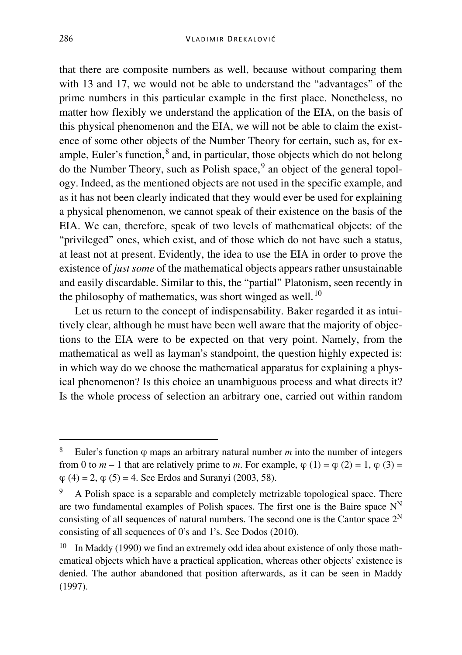that there are composite numbers as well, because without comparing them with 13 and 17, we would not be able to understand the "advantages" of the prime numbers in this particular example in the first place. Nonetheless, no matter how flexibly we understand the application of the EIA, on the basis of this physical phenomenon and the EIA, we will not be able to claim the existence of some other objects of the Number Theory for certain, such as, for example, Euler's function, $^8$  $^8$  and, in particular, those objects which do not belong do the Number Theory, such as Polish space,<sup>[9](#page-6-1)</sup> an object of the general topology. Indeed, as the mentioned objects are not used in the specific example, and as it has not been clearly indicated that they would ever be used for explaining a physical phenomenon, we cannot speak of their existence on the basis of the EIA. We can, therefore, speak of two levels of mathematical objects: of the "privileged" ones, which exist, and of those which do not have such a status, at least not at present. Evidently, the idea to use the EIA in order to prove the existence of *just some* of the mathematical objects appears rather unsustainable and easily discardable. Similar to this, the "partial" Platonism, seen recently in the philosophy of mathematics, was short winged as well.<sup>[10](#page-6-2)</sup>

Let us return to the concept of indispensability. Baker regarded it as intuitively clear, although he must have been well aware that the majority of objections to the EIA were to be expected on that very point. Namely, from the mathematical as well as layman's standpoint, the question highly expected is: in which way do we choose the mathematical apparatus for explaining a physical phenomenon? Is this choice an unambiguous process and what directs it? Is the whole process of selection an arbitrary one, carried out within random

<span id="page-6-0"></span> <sup>8</sup> Euler's function φ maps an arbitrary natural number *<sup>m</sup>* into the number of integers from 0 to  $m-1$  that are relatively prime to  $m$ . For example,  $\varphi(1) = \varphi(2) = 1$ ,  $\varphi(3) =$  $\varphi$  (4) = 2,  $\varphi$  (5) = 4. See Erdos and Suranyi (2003, 58).

<span id="page-6-1"></span><sup>9</sup> A Polish space is a separable and completely metrizable topological space. There are two fundamental examples of Polish spaces. The first one is the Baire space  $N<sup>N</sup>$ consisting of all sequences of natural numbers. The second one is the Cantor space  $2^N$ consisting of all sequences of 0's and 1's. See Dodos (2010).

<span id="page-6-2"></span> $10$  In Maddy (1990) we find an extremely odd idea about existence of only those mathematical objects which have a practical application, whereas other objects' existence is denied. The author abandoned that position afterwards, as it can be seen in Maddy (1997).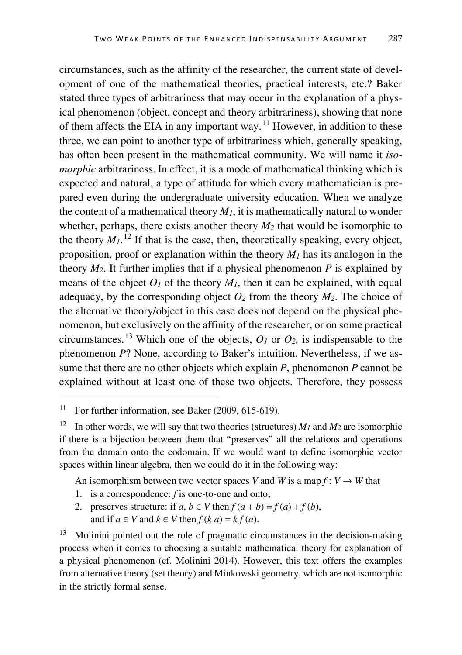circumstances, such as the affinity of the researcher, the current state of development of one of the mathematical theories, practical interests, etc.? Baker stated three types of arbitrariness that may occur in the explanation of a physical phenomenon (object, concept and theory arbitrariness), showing that none of them affects the EIA in any important way.<sup>[11](#page-7-0)</sup> However, in addition to these three, we can point to another type of arbitrariness which, generally speaking, has often been present in the mathematical community. We will name it *isomorphic* arbitrariness. In effect, it is a mode of mathematical thinking which is expected and natural, a type of attitude for which every mathematician is prepared even during the undergraduate university education. When we analyze the content of a mathematical theory  $M_l$ , it is mathematically natural to wonder whether, perhaps, there exists another theory  $M_2$  that would be isomorphic to the theory  $M_l$ .<sup>[12](#page-7-1)</sup> If that is the case, then, theoretically speaking, every object, proposition, proof or explanation within the theory  $M_l$  has its analogon in the theory  $M_2$ . It further implies that if a physical phenomenon  $P$  is explained by means of the object  $O<sub>1</sub>$  of the theory  $M<sub>1</sub>$ , then it can be explained, with equal adequacy, by the corresponding object  $O_2$  from the theory  $M_2$ . The choice of the alternative theory/object in this case does not depend on the physical phenomenon, but exclusively on the affinity of the researcher, or on some practical circumstances.<sup>[13](#page-7-2)</sup> Which one of the objects,  $O_1$  or  $O_2$ , is indispensable to the phenomenon *P*? None, according to Baker's intuition. Nevertheless, if we assume that there are no other objects which explain *P*, phenomenon *P* cannot be explained without at least one of these two objects. Therefore, they possess

An isomorphism between two vector spaces *V* and *W* is a map  $f: V \to W$  that

- 1. is a correspondence: *f* is one-to-one and onto;
- 2. preserves structure: if  $a, b \in V$  then  $f(a + b) = f(a) + f(b)$ , and if  $a \in V$  and  $k \in V$  then  $f(k, a) = kf(a)$ .

<span id="page-7-2"></span><sup>13</sup> Molinini pointed out the role of pragmatic circumstances in the decision-making process when it comes to choosing a suitable mathematical theory for explanation of a physical phenomenon (cf. Molinini 2014). However, this text offers the examples from alternative theory (set theory) and Minkowski geometry, which are not isomorphic in the strictly formal sense.

<span id="page-7-0"></span><sup>&</sup>lt;sup>11</sup> For further information, see Baker (2009, 615-619).

<span id="page-7-1"></span><sup>&</sup>lt;sup>12</sup> In other words, we will say that two theories (structures)  $M_1$  and  $M_2$  are isomorphic if there is a bijection between them that "preserves" all the relations and operations from the domain onto the codomain. If we would want to define isomorphic vector spaces within linear algebra, then we could do it in the following way: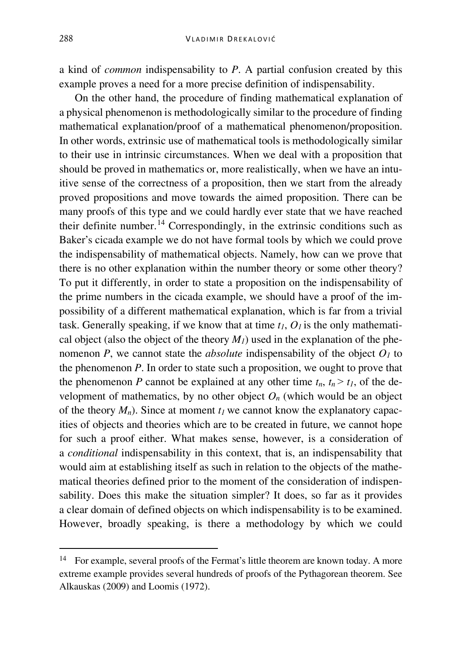a kind of *common* indispensability to *P*. A partial confusion created by this example proves a need for a more precise definition of indispensability.

On the other hand, the procedure of finding mathematical explanation of a physical phenomenon is methodologically similar to the procedure of finding mathematical explanation/proof of a mathematical phenomenon/proposition. In other words, extrinsic use of mathematical tools is methodologically similar to their use in intrinsic circumstances. When we deal with a proposition that should be proved in mathematics or, more realistically, when we have an intuitive sense of the correctness of a proposition, then we start from the already proved propositions and move towards the aimed proposition. There can be many proofs of this type and we could hardly ever state that we have reached their definite number.<sup>[14](#page-8-0)</sup> Correspondingly, in the extrinsic conditions such as Baker's cicada example we do not have formal tools by which we could prove the indispensability of mathematical objects. Namely, how can we prove that there is no other explanation within the number theory or some other theory? To put it differently, in order to state a proposition on the indispensability of the prime numbers in the cicada example, we should have a proof of the impossibility of a different mathematical explanation, which is far from a trivial task. Generally speaking, if we know that at time  $t_1$ ,  $O_1$  is the only mathematical object (also the object of the theory  $M_l$ ) used in the explanation of the phenomenon *P*, we cannot state the *absolute* indispensability of the object  $O<sub>1</sub>$  to the phenomenon *P*. In order to state such a proposition, we ought to prove that the phenomenon *P* cannot be explained at any other time  $t_n$ ,  $t_n > t_l$ , of the development of mathematics, by no other object  $O_n$  (which would be an object of the theory  $M_n$ ). Since at moment  $t_1$  we cannot know the explanatory capacities of objects and theories which are to be created in future, we cannot hope for such a proof either. What makes sense, however, is a consideration of a *conditional* indispensability in this context, that is, an indispensability that would aim at establishing itself as such in relation to the objects of the mathematical theories defined prior to the moment of the consideration of indispensability. Does this make the situation simpler? It does, so far as it provides a clear domain of defined objects on which indispensability is to be examined. However, broadly speaking, is there a methodology by which we could

<span id="page-8-0"></span><sup>&</sup>lt;sup>14</sup> For example, several proofs of the [Fermat's little theorem](https://en.wikipedia.org/wiki/Fermat%27s_little_theorem) are known today. A more extreme example provides several hundreds of proofs of the Pythagorean theorem. See Alkauskas (2009) and Loomis (1972).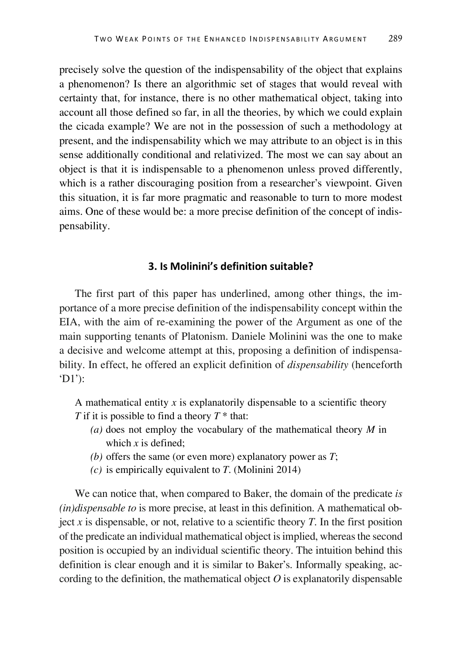precisely solve the question of the indispensability of the object that explains a phenomenon? Is there an algorithmic set of stages that would reveal with certainty that, for instance, there is no other mathematical object, taking into account all those defined so far, in all the theories, by which we could explain the cicada example? We are not in the possession of such a methodology at present, and the indispensability which we may attribute to an object is in this sense additionally conditional and relativized. The most we can say about an object is that it is indispensable to a phenomenon unless proved differently, which is a rather discouraging position from a researcher's viewpoint. Given this situation, it is far more pragmatic and reasonable to turn to more modest aims. One of these would be: a more precise definition of the concept of indispensability.

## **3. Is Molinini's definition suitable?**

The first part of this paper has underlined, among other things, the importance of a more precise definition of the indispensability concept within the EIA, with the aim of re-examining the power of the Argument as one of the main supporting tenants of Platonism. Daniele Molinini was the one to make a decisive and welcome attempt at this, proposing a definition of indispensability. In effect, he offered an explicit definition of *dispensability* (henceforth 'D1'):

A mathematical entity *x* is explanatorily dispensable to a scientific theory *T* if it is possible to find a theory *T* \* that:

- *(a)* does not employ the vocabulary of the mathematical theory *M* in which *x* is defined;
- *(b)* offers the same (or even more) explanatory power as *T*;
- *(c)* is empirically equivalent to *T*. (Molinini 2014)

We can notice that, when compared to Baker, the domain of the predicate *is (in)dispensable to* is more precise, at least in this definition. A mathematical object  $x$  is dispensable, or not, relative to a scientific theory  $T$ . In the first position of the predicate an individual mathematical object is implied, whereas the second position is occupied by an individual scientific theory. The intuition behind this definition is clear enough and it is similar to Baker's. Informally speaking, according to the definition, the mathematical object  $O$  is explanatorily dispensable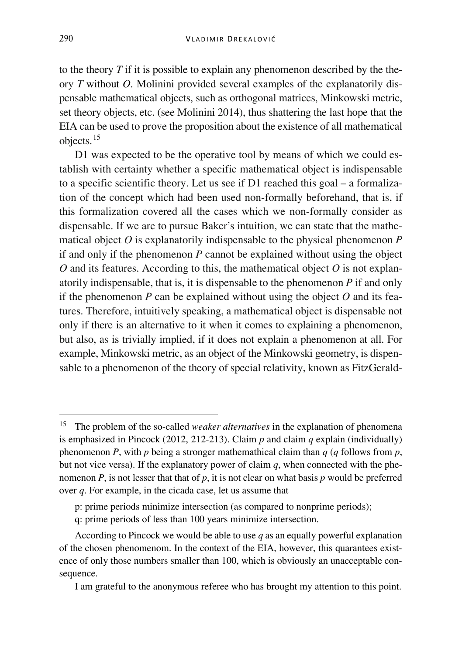to the theory *T* if it is possible to explain any phenomenon described by the theory *T* without *O*. Molinini provided several examples of the explanatorily dispensable mathematical objects, such as orthogonal matrices, Minkowski metric, set theory objects, etc. (see Molinini 2014), thus shattering the last hope that the EIA can be used to prove the proposition about the existence of all mathematical objects.[15](#page-10-0)

D1 was expected to be the operative tool by means of which we could establish with certainty whether a specific mathematical object is indispensable to a specific scientific theory. Let us see if D1 reached this goal – a formalization of the concept which had been used non-formally beforehand, that is, if this formalization covered all the cases which we non-formally consider as dispensable. If we are to pursue Baker's intuition, we can state that the mathematical object *O* is explanatorily indispensable to the physical phenomenon *P* if and only if the phenomenon *P* cannot be explained without using the object *O* and its features. According to this, the mathematical object *O* is not explanatorily indispensable, that is, it is dispensable to the phenomenon *P* if and only if the phenomenon  $P$  can be explained without using the object  $O$  and its features. Therefore, intuitively speaking, a mathematical object is dispensable not only if there is an alternative to it when it comes to explaining a phenomenon, but also, as is trivially implied, if it does not explain a phenomenon at all. For example, Minkowski metric, as an object of the Minkowski geometry, is dispensable to a phenomenon of the theory of special relativity, known as FitzGerald-

<span id="page-10-0"></span> <sup>15</sup> The problem of the so-called *weaker alternatives* in the explanation of phenomena is emphasized in Pincock (2012, 212-213). Claim  $p$  and claim  $q$  explain (individually) phenomenon *P*, with *p* being a stronger mathemathical claim than *q* (*q* follows from *p*, but not vice versa). If the explanatory power of claim *q*, when connected with the phenomenon *P*, is not lesser that that of *p*, it is not clear on what basis *p* would be preferred over *q*. For example, in the cicada case, let us assume that

p: prime periods minimize intersection (as compared to nonprime periods);

q: prime periods of less than 100 years minimize intersection.

According to Pincock we would be able to use *q* as an equally powerful explanation of the chosen phenomenom. In the context of the EIA, however, this quarantees existence of only those numbers smaller than 100, which is obviously an unacceptable consequence.

I am grateful to the anonymous referee who has brought my attention to this point.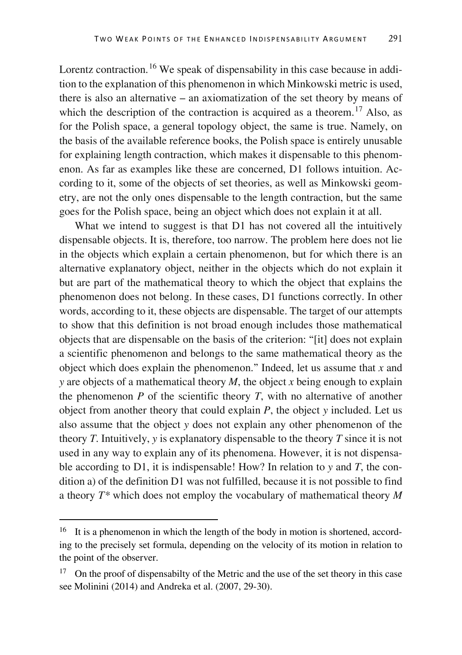Lorentz contraction.<sup>[16](#page-11-0)</sup> We speak of dispensability in this case because in addition to the explanation of this phenomenon in which Minkowski metric is used, there is also an alternative – an axiomatization of the set theory by means of which the description of the contraction is acquired as a theorem.<sup>[17](#page-11-1)</sup> Also, as for the Polish space, a general topology object, the same is true. Namely, on the basis of the available reference books, the Polish space is entirely unusable for explaining length contraction, which makes it dispensable to this phenomenon. As far as examples like these are concerned, D1 follows intuition. According to it, some of the objects of set theories, as well as Minkowski geometry, are not the only ones dispensable to the length contraction, but the same goes for the Polish space, being an object which does not explain it at all.

What we intend to suggest is that D1 has not covered all the intuitively dispensable objects. It is, therefore, too narrow. The problem here does not lie in the objects which explain a certain phenomenon, but for which there is an alternative explanatory object, neither in the objects which do not explain it but are part of the mathematical theory to which the object that explains the phenomenon does not belong. In these cases, D1 functions correctly. In other words, according to it, these objects are dispensable. The target of our attempts to show that this definition is not broad enough includes those mathematical objects that are dispensable on the basis of the criterion: "[it] does not explain a scientific phenomenon and belongs to the same mathematical theory as the object which does explain the phenomenon." Indeed, let us assume that *x* and *y* are objects of a mathematical theory *M*, the object *x* being enough to explain the phenomenon *P* of the scientific theory *T*, with no alternative of another object from another theory that could explain *P*, the object *y* included. Let us also assume that the object *y* does not explain any other phenomenon of the theory *T*. Intuitively, *y* is explanatory dispensable to the theory *T* since it is not used in any way to explain any of its phenomena. However, it is not dispensable according to D1, it is indispensable! How? In relation to *y* and *T*, the condition a) of the definition D1 was not fulfilled, because it is not possible to find a theory *T\** which does not employ the vocabulary of mathematical theory *M*

<span id="page-11-0"></span><sup>&</sup>lt;sup>16</sup> It is a phenomenon in which the length of the body in motion is shortened, according to the precisely set formula, depending on the velocity of its motion in relation to the point of the observer.

<span id="page-11-1"></span> $17$  On the proof of dispensabilty of the Metric and the use of the set theory in this case see Molinini (2014) and Andreka et al. (2007, 29-30).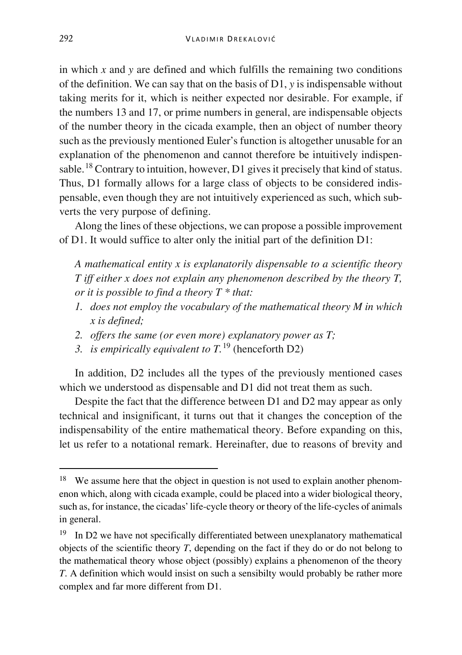in which *x* and *y* are defined and which fulfills the remaining two conditions of the definition. We can say that on the basis of D1, *y* is indispensable without taking merits for it, which is neither expected nor desirable. For example, if the numbers 13 and 17, or prime numbers in general, are indispensable objects of the number theory in the cicada example, then an object of number theory such as the previously mentioned Euler's function is altogether unusable for an explanation of the phenomenon and cannot therefore be intuitively indispensable.[18](#page-12-0) Contrary to intuition, however, D1 gives it precisely that kind of status. Thus, D1 formally allows for a large class of objects to be considered indispensable, even though they are not intuitively experienced as such, which subverts the very purpose of defining.

Along the lines of these objections, we can propose a possible improvement of D1. It would suffice to alter only the initial part of the definition D1:

*A mathematical entity x is explanatorily dispensable to a scientific theory T iff either x does not explain any phenomenon described by the theory T, or it is possible to find a theory T \* that:*

- *1. does not employ the vocabulary of the mathematical theory M in which x is defined;*
- *2. offers the same (or even more) explanatory power as T;*
- *3. is empirically equivalent to T.* [19](#page-12-1) (henceforth D2)

In addition, D2 includes all the types of the previously mentioned cases which we understood as dispensable and D1 did not treat them as such.

Despite the fact that the difference between D1 and D2 may appear as only technical and insignificant, it turns out that it changes the conception of the indispensability of the entire mathematical theory. Before expanding on this, let us refer to a notational remark. Hereinafter, due to reasons of brevity and

<span id="page-12-0"></span><sup>&</sup>lt;sup>18</sup> We assume here that the object in question is not used to explain another phenomenon which, along with cicada example, could be placed into a wider biological theory, such as, for instance, the cicadas' life-cycle theory or theory of the life-cycles of animals in general.

<span id="page-12-1"></span><sup>&</sup>lt;sup>19</sup> In D2 we have not specifically differentiated between unexplanatory mathematical objects of the scientific theory *T*, depending on the fact if they do or do not belong to the mathematical theory whose object (possibly) explains a phenomenon of the theory *T*. A definition which would insist on such a sensibilty would probably be rather more complex and far more different from D1.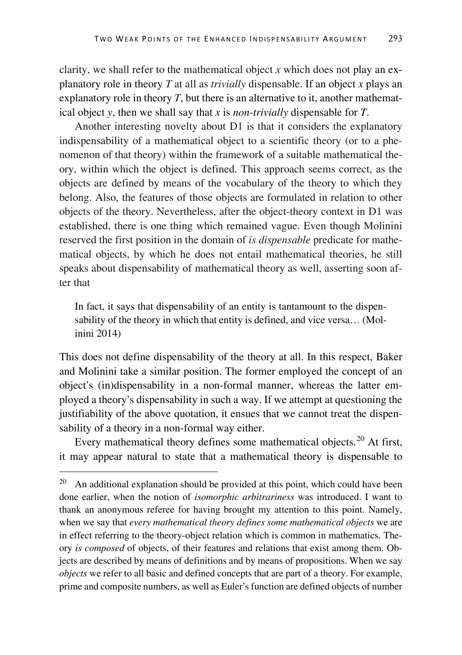clarity, we shall refer to the mathematical object *x* which does not play an explanatory role in theory *T* at all as *trivially* dispensable. If an object *x* plays an explanatory role in theory *T*, but there is an alternative to it, another mathematical object *y*, then we shall say that *x* is *non-trivially* dispensable for *T*.

Another interesting novelty about D1 is that it considers the explanatory indispensability of a mathematical object to a scientific theory (or to a phenomenon of that theory) within the framework of a suitable mathematical theory, within which the object is defined. This approach seems correct, as the objects are defined by means of the vocabulary of the theory to which they belong. Also, the features of those objects are formulated in relation to other objects of the theory. Nevertheless, after the object-theory context in D1 was established, there is one thing which remained vague. Even though Molinini reserved the first position in the domain of *is dispensable* predicate for mathematical objects, by which he does not entail mathematical theories, he still speaks about dispensability of mathematical theory as well, asserting soon after that

In fact, it says that dispensability of an entity is tantamount to the dispensability of the theory in which that entity is defined, and vice versa… (Molinini 2014)

This does not define dispensability of the theory at all. In this respect, Baker and Molinini take a similar position. The former employed the concept of an object's (in)dispensability in a non-formal manner, whereas the latter employed a theory's dispensability in such a way. If we attempt at questioning the justifiability of the above quotation, it ensues that we cannot treat the dispensability of a theory in a non-formal way either.

Every mathematical theory defines some mathematical objects.<sup>[20](#page-13-0)</sup> At first, it may appear natural to state that a mathematical theory is dispensable to

<span id="page-13-0"></span> $20$  An additional explanation should be provided at this point, which could have been done earlier, when the notion of *isomorphic arbitrariness* was introduced. I want to thank an anonymous referee for having brought my attention to this point. Namely, when we say that *every mathematical theory defines some mathematical objects* we are in effect referring to the theory-object relation which is common in mathematics. Theory *is composed* of objects, of their features and relations that exist among them. Objects are described by means of definitions and by means of propositions. When we say *objects* we refer to all basic and defined concepts that are part of a theory. For example, prime and composite numbers, as well as Euler's function are defined objects of number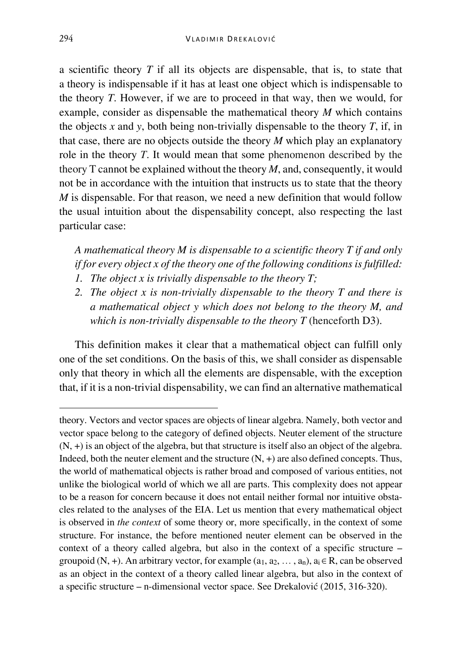a scientific theory *T* if all its objects are dispensable, that is, to state that a theory is indispensable if it has at least one object which is indispensable to the theory *T*. However, if we are to proceed in that way, then we would, for example, consider as dispensable the mathematical theory *M* which contains the objects  $x$  and  $y$ , both being non-trivially dispensable to the theory  $T$ , if, in that case, there are no objects outside the theory *M* which play an explanatory role in the theory *T*. It would mean that some phenomenon described by the theory T cannot be explained without the theory *M*, and, consequently, it would not be in accordance with the intuition that instructs us to state that the theory *M* is dispensable. For that reason, we need a new definition that would follow the usual intuition about the dispensability concept, also respecting the last particular case:

*A mathematical theory M is dispensable to a scientific theory T if and only if for every object x of the theory one of the following conditions is fulfilled:*

- *1. The object x is trivially dispensable to the theory T;*
- *2. The object x is non-trivially dispensable to the theory T and there is a mathematical object y which does not belong to the theory M, and which is non-trivially dispensable to the theory T* (henceforth D3).

This definition makes it clear that a mathematical object can fulfill only one of the set conditions. On the basis of this, we shall consider as dispensable only that theory in which all the elements are dispensable, with the exception that, if it is a non-trivial dispensability, we can find an alternative mathematical

Ĩ

theory. Vectors and vector spaces are objects of linear algebra. Namely, both vector and vector space belong to the category of defined objects. Neuter element of the structure (N, +) is an object of the algebra, but that structure is itself also an object of the algebra. Indeed, both the neuter element and the structure (N, +) are also defined concepts. Thus, the world of mathematical objects is rather broad and composed of various entities, not unlike the biological world of which we all are parts. This complexity does not appear to be a reason for concern because it does not entail neither formal nor intuitive obstacles related to the analyses of the EIA. Let us mention that every mathematical object is observed in *the context* of some theory or, more specifically, in the context of some structure. For instance, the before mentioned neuter element can be observed in the context of a theory called algebra, but also in the context of a specific structure – groupoid (N, +). An arbitrary vector, for example  $(a_1, a_2, \ldots, a_n)$ ,  $a_i \in R$ , can be observed as an object in the context of a theory called linear algebra, but also in the context of a specific structure – n-dimensional vector space. See Drekalović (2015, 316-320).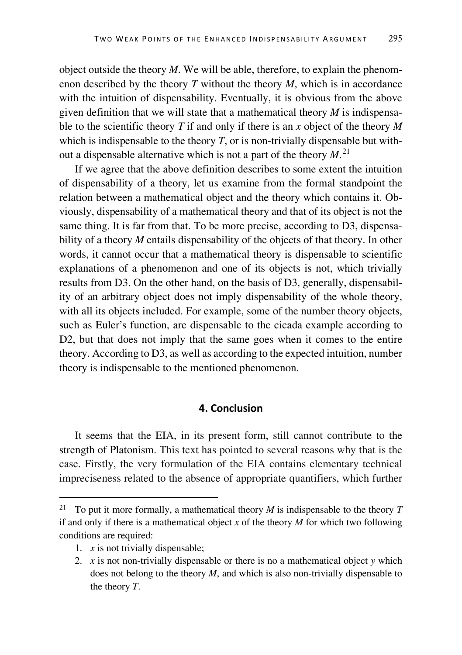object outside the theory *M*. We will be able, therefore, to explain the phenomenon described by the theory *T* without the theory *M*, which is in accordance with the intuition of dispensability. Eventually, it is obvious from the above given definition that we will state that a mathematical theory  $M$  is indispensable to the scientific theory *T* if and only if there is an *x* object of the theory *M* which is indispensable to the theory  $T$ , or is non-trivially dispensable but without a dispensable alternative which is not a part of the theory *M*. [21](#page-15-0)

If we agree that the above definition describes to some extent the intuition of dispensability of a theory, let us examine from the formal standpoint the relation between a mathematical object and the theory which contains it. Obviously, dispensability of a mathematical theory and that of its object is not the same thing. It is far from that. To be more precise, according to D3, dispensability of a theory *M* entails dispensability of the objects of that theory. In other words, it cannot occur that a mathematical theory is dispensable to scientific explanations of a phenomenon and one of its objects is not, which trivially results from D3. On the other hand, on the basis of D3, generally, dispensability of an arbitrary object does not imply dispensability of the whole theory, with all its objects included. For example, some of the number theory objects, such as Euler's function, are dispensable to the cicada example according to D2, but that does not imply that the same goes when it comes to the entire theory. According to D3, as well as according to the expected intuition, number theory is indispensable to the mentioned phenomenon.

### **4. Conclusion**

It seems that the EIA, in its present form, still cannot contribute to the strength of Platonism. This text has pointed to several reasons why that is the case. Firstly, the very formulation of the EIA contains elementary technical impreciseness related to the absence of appropriate quantifiers, which further

<span id="page-15-0"></span> <sup>21</sup> To put it more formally, a mathematical theory *<sup>M</sup>* is indispensable to the theory *<sup>T</sup>* if and only if there is a mathematical object *x* of the theory *M* for which two following conditions are required:

<sup>1.</sup>  $x$  is not trivially dispensable;

<sup>2.</sup> *x* is not non-trivially dispensable or there is no a mathematical object *y* which does not belong to the theory *M*, and which is also non-trivially dispensable to the theory *T*.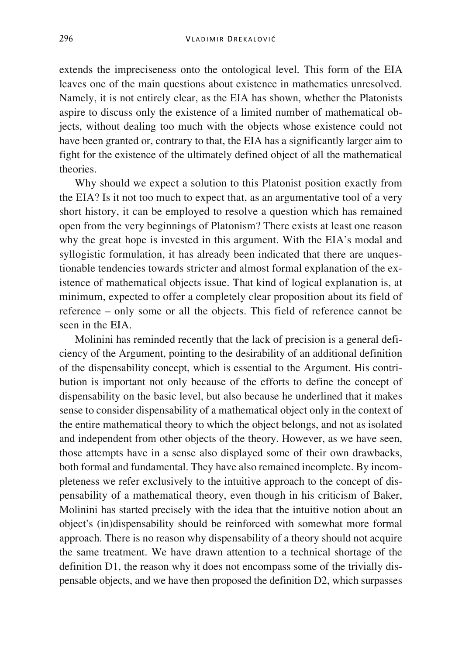extends the impreciseness onto the ontological level. This form of the EIA leaves one of the main questions about existence in mathematics unresolved. Namely, it is not entirely clear, as the EIA has shown, whether the Platonists aspire to discuss only the existence of a limited number of mathematical objects, without dealing too much with the objects whose existence could not have been granted or, contrary to that, the EIA has a significantly larger aim to fight for the existence of the ultimately defined object of all the mathematical theories.

Why should we expect a solution to this Platonist position exactly from the EIA? Is it not too much to expect that, as an argumentative tool of a very short history, it can be employed to resolve a question which has remained open from the very beginnings of Platonism? There exists at least one reason why the great hope is invested in this argument. With the EIA's modal and syllogistic formulation, it has already been indicated that there are unquestionable tendencies towards stricter and almost formal explanation of the existence of mathematical objects issue. That kind of logical explanation is, at minimum, expected to offer a completely clear proposition about its field of reference – only some or all the objects. This field of reference cannot be seen in the EIA.

Molinini has reminded recently that the lack of precision is a general deficiency of the Argument, pointing to the desirability of an additional definition of the dispensability concept, which is essential to the Argument. His contribution is important not only because of the efforts to define the concept of dispensability on the basic level, but also because he underlined that it makes sense to consider dispensability of a mathematical object only in the context of the entire mathematical theory to which the object belongs, and not as isolated and independent from other objects of the theory. However, as we have seen, those attempts have in a sense also displayed some of their own drawbacks, both formal and fundamental. They have also remained incomplete. By incompleteness we refer exclusively to the intuitive approach to the concept of dispensability of a mathematical theory, even though in his criticism of Baker, Molinini has started precisely with the idea that the intuitive notion about an object's (in)dispensability should be reinforced with somewhat more formal approach. There is no reason why dispensability of a theory should not acquire the same treatment. We have drawn attention to a technical shortage of the definition D1, the reason why it does not encompass some of the trivially dispensable objects, and we have then proposed the definition D2, which surpasses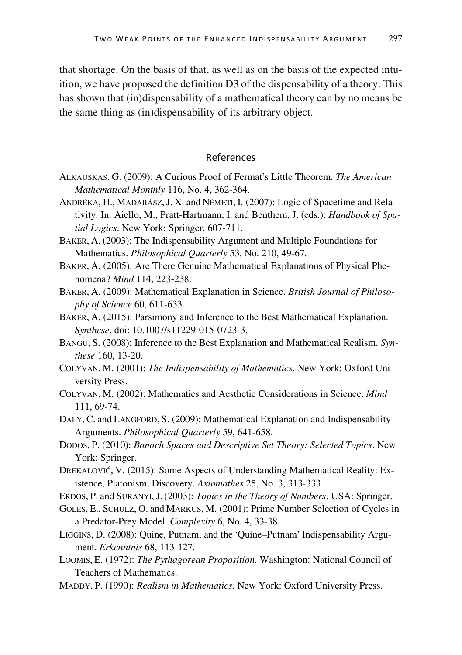that shortage. On the basis of that, as well as on the basis of the expected intuition, we have proposed the definition D3 of the dispensability of a theory. This has shown that (in)dispensability of a mathematical theory can by no means be the same thing as (in)dispensability of its arbitrary object.

#### References

- ALKAUSKAS, G. (2009): A Curious Proof of Fermat's Little Theorem. *The American Mathematical Monthly* 116, No. 4, 362-364.
- ANDRÉKA, H., MADARÁSZ,J. X. and NÉMETI, I. (2007): Logic of Spacetime and Relativity. In: Aiello, M., Pratt-Hartmann, I. and Benthem, J. (eds.): *Handbook of Spatial Logics*. New York: Springer, 607-711.
- BAKER, A. (2003): The Indispensability Argument and Multiple Foundations for Mathematics. *Philosophical Quarterly* 53, No. 210, 49-67.
- BAKER, A. (2005): Are There Genuine Mathematical Explanations of Physical Phenomena? *Mind* 114, 223-238.
- BAKER, A. (2009): Mathematical Explanation in Science. *British Journal of Philosophy of Science* 60, 611-633.
- BAKER, A. (2015): Parsimony and Inference to the Best Mathematical Explanation. *Synthese*, doi: 10.1007/s11229-015-0723-3.
- BANGU, S. (2008): Inference to the Best Explanation and Mathematical Realism. *Synthese* 160, 13-20.
- COLYVAN, M. (2001): *The Indispensability of Mathematics*. New York: Oxford University Press.
- COLYVAN, M. (2002): Mathematics and Aesthetic Considerations in Science. *Mind* 111, 69-74.
- DALY, C. and LANGFORD, S. (2009): Mathematical Explanation and Indispensability Arguments. *Philosophical Quarterly* 59, 641-658.
- DODOS, P. (2010): *Banach Spaces and Descriptive Set Theory: Selected Topics*. New York: Springer.
- DREKALOVIĆ, V. (2015): Some Aspects of Understanding Mathematical Reality: Existence, Platonism, Discovery. *Axiomathes* 25, No. 3, 313-333.
- ERDOS, P. and SURANYI, J. (2003): *Topics in the Theory of Numbers*. USA: Springer.
- GOLES, E., SCHULZ, O. and MARKUS, M. (2001): Prime Number Selection of Cycles in a Predator-Prey Model. *Complexity* 6, No. 4, 33-38.
- LIGGINS, D. (2008): Quine, Putnam, and the 'Quine–Putnam' Indispensability Argument. *Erkenntnis* 68, 113-127.
- LOOMIS, E. (1972): *The Pythagorean Proposition*. Washington: National Council of Teachers of Mathematics.
- MADDY, P. (1990): *Realism in Mathematics*. New York: Oxford University Press.